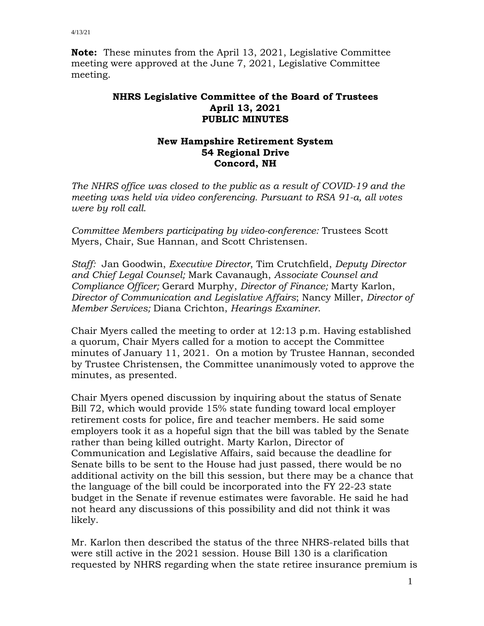**Note:** These minutes from the April 13, 2021, Legislative Committee meeting were approved at the June 7, 2021, Legislative Committee meeting.

## **NHRS Legislative Committee of the Board of Trustees April 13, 2021 PUBLIC MINUTES**

## **New Hampshire Retirement System 54 Regional Drive Concord, NH**

*The NHRS office was closed to the public as a result of COVID-19 and the meeting was held via video conferencing. Pursuant to RSA 91-a, all votes were by roll call.*

*Committee Members participating by video-conference:* Trustees Scott Myers, Chair, Sue Hannan, and Scott Christensen.

*Staff:* Jan Goodwin, *Executive Director*, Tim Crutchfield, *Deputy Director and Chief Legal Counsel;* Mark Cavanaugh, *Associate Counsel and Compliance Officer;* Gerard Murphy, *Director of Finance;* Marty Karlon, *Director of Communication and Legislative Affairs*; Nancy Miller, *Director of Member Services;* Diana Crichton, *Hearings Examiner*.

Chair Myers called the meeting to order at 12:13 p.m. Having established a quorum, Chair Myers called for a motion to accept the Committee minutes of January 11, 2021. On a motion by Trustee Hannan, seconded by Trustee Christensen, the Committee unanimously voted to approve the minutes, as presented.

Chair Myers opened discussion by inquiring about the status of Senate Bill 72, which would provide 15% state funding toward local employer retirement costs for police, fire and teacher members. He said some employers took it as a hopeful sign that the bill was tabled by the Senate rather than being killed outright. Marty Karlon, Director of Communication and Legislative Affairs, said because the deadline for Senate bills to be sent to the House had just passed, there would be no additional activity on the bill this session, but there may be a chance that the language of the bill could be incorporated into the FY 22-23 state budget in the Senate if revenue estimates were favorable. He said he had not heard any discussions of this possibility and did not think it was likely.

Mr. Karlon then described the status of the three NHRS-related bills that were still active in the 2021 session. House Bill 130 is a clarification requested by NHRS regarding when the state retiree insurance premium is